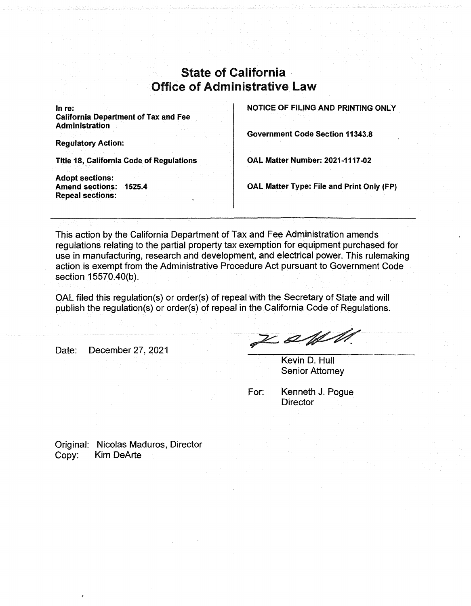## State of California Office of Administrative Law

**In re: California Department of Tax and Fee Administration** 

**Regulatory Action:** 

**Title 18, California Code of Regulations** 

**Adopt sections: Amend sections: 1525.4 Repeal sections:** 

**NOTICE OF FILING AND PRINTING ONLY** 

**Government Code Section 11343.8** 

**OAL Matter Number: 2021-1117-02** 

**OAL Matter Type: File and Print Only (FP)** 

This action by the California Department of Tax and Fee Administration amends regulations relating to the partial property tax exemption for equipment purchased for use in manufacturing, research and development, and electrical power. This rulemaking action is exempt from the Administrative Procedure Act pursuant to Government Code section 15570.40(b).

OAL filed this regulation(s) or order(s) of repeal with the Secretary of State and will publish the regulation(s) or order(s) of repeal in the California Code of Regulations.

Date: December 27, 2021

Z akl M.

Kevin D. Hull Senior Attorney

For: Kenneth J. Pogue **Director** 

Original: Nicolas Maduros, Director Copy: Kim DeArte